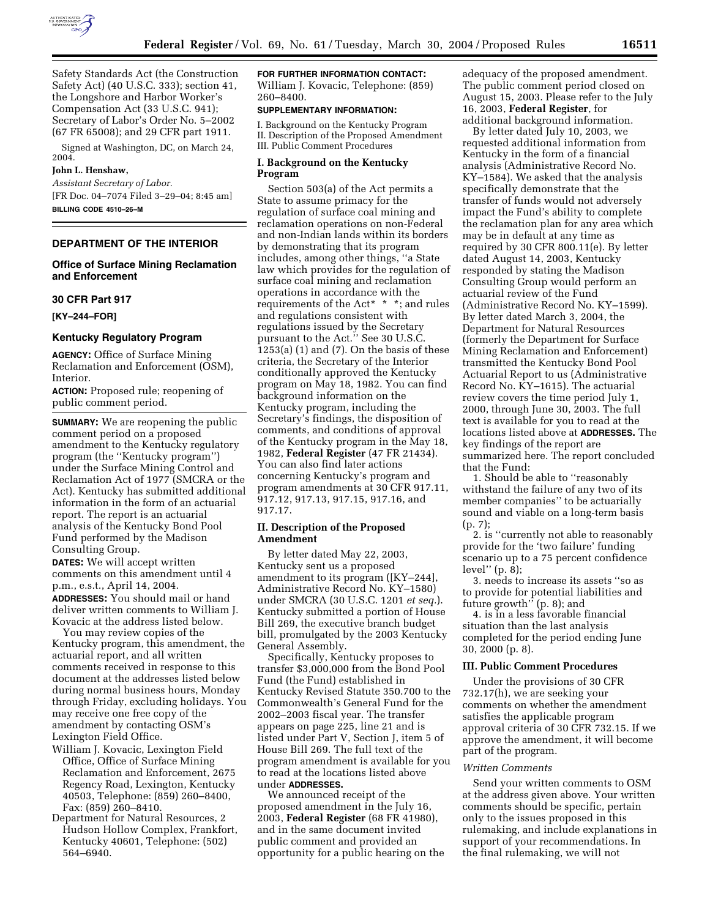

Safety Standards Act (the Construction Safety Act) (40 U.S.C. 333); section 41, the Longshore and Harbor Worker's Compensation Act (33 U.S.C. 941); Secretary of Labor's Order No. 5–2002 (67 FR 65008); and 29 CFR part 1911.

Signed at Washington, DC, on March 24, 2004.

### **John L. Henshaw,**

*Assistant Secretary of Labor.* [FR Doc. 04–7074 Filed 3–29–04; 8:45 am] **BILLING CODE 4510–26–M**

### **DEPARTMENT OF THE INTERIOR**

# **Office of Surface Mining Reclamation and Enforcement**

## **30 CFR Part 917**

### **[KY–244–FOR]**

#### **Kentucky Regulatory Program**

**AGENCY:** Office of Surface Mining Reclamation and Enforcement (OSM), Interior.

**ACTION:** Proposed rule; reopening of public comment period.

**SUMMARY:** We are reopening the public comment period on a proposed amendment to the Kentucky regulatory program (the ''Kentucky program'') under the Surface Mining Control and Reclamation Act of 1977 (SMCRA or the Act). Kentucky has submitted additional information in the form of an actuarial report. The report is an actuarial analysis of the Kentucky Bond Pool Fund performed by the Madison Consulting Group.

**DATES:** We will accept written comments on this amendment until 4 p.m., e.s.t., April 14, 2004.

**ADDRESSES:** You should mail or hand deliver written comments to William J. Kovacic at the address listed below.

You may review copies of the Kentucky program, this amendment, the actuarial report, and all written comments received in response to this document at the addresses listed below during normal business hours, Monday through Friday, excluding holidays. You may receive one free copy of the amendment by contacting OSM's Lexington Field Office.

- William J. Kovacic, Lexington Field Office, Office of Surface Mining Reclamation and Enforcement, 2675 Regency Road, Lexington, Kentucky 40503, Telephone: (859) 260–8400, Fax: (859) 260–8410.
- Department for Natural Resources, 2 Hudson Hollow Complex, Frankfort, Kentucky 40601, Telephone: (502) 564–6940.

**FOR FURTHER INFORMATION CONTACT:** William J. Kovacic, Telephone: (859) 260–8400.

### **SUPPLEMENTARY INFORMATION:**

I. Background on the Kentucky Program II. Description of the Proposed Amendment III. Public Comment Procedures

## **I. Background on the Kentucky Program**

Section 503(a) of the Act permits a State to assume primacy for the regulation of surface coal mining and reclamation operations on non-Federal and non-Indian lands within its borders by demonstrating that its program includes, among other things, ''a State law which provides for the regulation of surface coal mining and reclamation operations in accordance with the requirements of the Act\* \* \*; and rules and regulations consistent with regulations issued by the Secretary pursuant to the Act.'' See 30 U.S.C.  $1253(a)$  (1) and (7). On the basis of these criteria, the Secretary of the Interior conditionally approved the Kentucky program on May 18, 1982. You can find background information on the Kentucky program, including the Secretary's findings, the disposition of comments, and conditions of approval of the Kentucky program in the May 18, 1982, **Federal Register** (47 FR 21434). You can also find later actions concerning Kentucky's program and program amendments at 30 CFR 917.11, 917.12, 917.13, 917.15, 917.16, and 917.17.

## **II. Description of the Proposed Amendment**

By letter dated May 22, 2003, Kentucky sent us a proposed amendment to its program ([KY–244], Administrative Record No. KY–1580) under SMCRA (30 U.S.C. 1201 *et seq.*). Kentucky submitted a portion of House Bill 269, the executive branch budget bill, promulgated by the 2003 Kentucky General Assembly.

Specifically, Kentucky proposes to transfer \$3,000,000 from the Bond Pool Fund (the Fund) established in Kentucky Revised Statute 350.700 to the Commonwealth's General Fund for the 2002–2003 fiscal year. The transfer appears on page 225, line 21 and is listed under Part V, Section J, item 5 of House Bill 269. The full text of the program amendment is available for you to read at the locations listed above under **ADDRESSES.**

We announced receipt of the proposed amendment in the July 16, 2003, **Federal Register** (68 FR 41980), and in the same document invited public comment and provided an opportunity for a public hearing on the adequacy of the proposed amendment. The public comment period closed on August 15, 2003. Please refer to the July 16, 2003, **Federal Register**, for additional background information.

By letter dated July 10, 2003, we requested additional information from Kentucky in the form of a financial analysis (Administrative Record No. KY–1584). We asked that the analysis specifically demonstrate that the transfer of funds would not adversely impact the Fund's ability to complete the reclamation plan for any area which may be in default at any time as required by 30 CFR 800.11(e). By letter dated August 14, 2003, Kentucky responded by stating the Madison Consulting Group would perform an actuarial review of the Fund (Administrative Record No. KY–1599). By letter dated March 3, 2004, the Department for Natural Resources (formerly the Department for Surface Mining Reclamation and Enforcement) transmitted the Kentucky Bond Pool Actuarial Report to us (Administrative Record No. KY–1615). The actuarial review covers the time period July 1, 2000, through June 30, 2003. The full text is available for you to read at the locations listed above at **ADDRESSES.** The key findings of the report are summarized here. The report concluded that the Fund:

1. Should be able to ''reasonably withstand the failure of any two of its member companies'' to be actuarially sound and viable on a long-term basis (p. 7);

2. is ''currently not able to reasonably provide for the 'two failure' funding scenario up to a 75 percent confidence level'' (p. 8);

3. needs to increase its assets ''so as to provide for potential liabilities and future growth'' (p. 8); and

4. is in a less favorable financial situation than the last analysis completed for the period ending June 30, 2000 (p. 8).

#### **III. Public Comment Procedures**

Under the provisions of 30 CFR 732.17(h), we are seeking your comments on whether the amendment satisfies the applicable program approval criteria of 30 CFR 732.15. If we approve the amendment, it will become part of the program.

## *Written Comments*

Send your written comments to OSM at the address given above. Your written comments should be specific, pertain only to the issues proposed in this rulemaking, and include explanations in support of your recommendations. In the final rulemaking, we will not